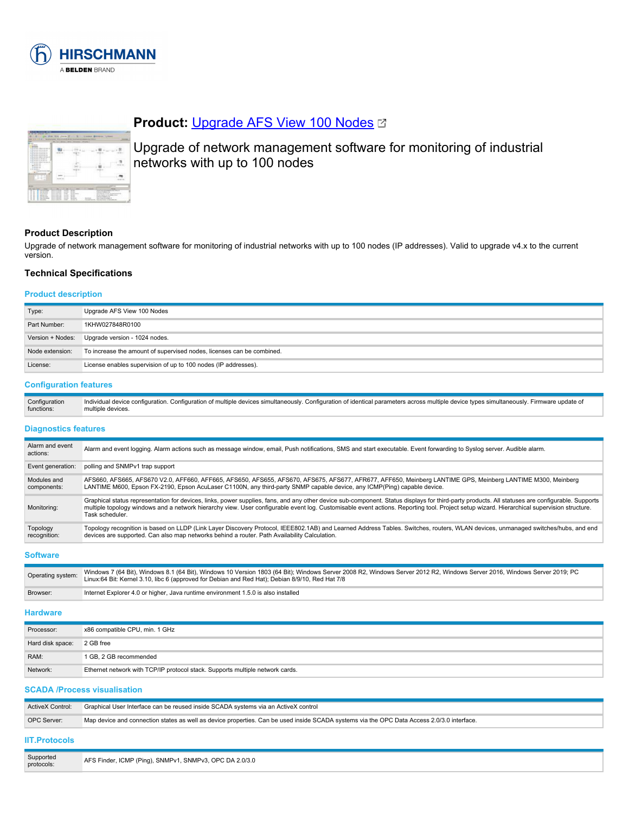

| <b>CARDON</b><br><b>Contract Contract</b><br>to The time makes delivery or one states.<br>A Telephone and the state of<br>a function products.<br>A The this sub-translation of the aid<br>a Summarina no a<br>at The Architect Miller and Control |  |  |
|----------------------------------------------------------------------------------------------------------------------------------------------------------------------------------------------------------------------------------------------------|--|--|
| a form and completely<br>A To Mi altra anni de catalan-<br>2. No de altra della concentrata<br>College and the<br><b>BUILDING</b><br><b><i>Charles College College</i></b><br><b>CARD AND STATE</b><br><b>All Services</b>                         |  |  |
| -<br><b>COLL</b>                                                                                                                                                                                                                                   |  |  |

# **Product:** [Upgrade AFS View 100 Nodes](https://catalog.belden.com/index.cfm?event=pd&p=PF_942071100&tab=downloads) &

Upgrade of network management software for monitoring of industrial networks with up to 100 nodes

# **Product Description**

Upgrade of network management software for monitoring of industrial networks with up to 100 nodes (IP addresses). Valid to upgrade v4.x to the current version.

### **Technical Specifications**

# **Product description**

| Type:            | Upgrade AFS View 100 Nodes                                            |  |
|------------------|-----------------------------------------------------------------------|--|
| Part Number:     | 1KHW027848R0100                                                       |  |
| Version + Nodes: | Upgrade version - 1024 nodes.                                         |  |
| Node extension:  | To increase the amount of supervised nodes, licenses can be combined. |  |
| License:         | License enables supervision of up to 100 nodes (IP addresses).        |  |

#### **Configuration features**

| Configuration | Individual device configuration. Configuration of multiple devices simultaneously. Configuration of identical parameters across multiple device types simultaneously. Firmware update of |
|---------------|------------------------------------------------------------------------------------------------------------------------------------------------------------------------------------------|
| functions:    | multiple devices.                                                                                                                                                                        |

#### **Diagnostics features**

| Alarm and event<br>actions: | Alarm and event logging. Alarm actions such as message window, email, Push notifications, SMS and start executable. Event forwarding to Syslog server. Audible alarm.                                                                                                                                                                                                                                            |
|-----------------------------|------------------------------------------------------------------------------------------------------------------------------------------------------------------------------------------------------------------------------------------------------------------------------------------------------------------------------------------------------------------------------------------------------------------|
| Event generation:           | polling and SNMPv1 trap support                                                                                                                                                                                                                                                                                                                                                                                  |
| Modules and<br>components:  | AFS660, AFS665, AFS670 V2.0, AFF660, AFF665, AFS650, AFS655, AFS670, AFS675, AFS677, AFR677, AFF650, Meinberg LANTIME GPS, Meinberg LANTIME M300, Meinberg<br>LANTIME M600, Epson FX-2190, Epson AcuLaser C1100N, any third-party SNMP capable device, any ICMP(Ping) capable device.                                                                                                                            |
| Monitoring:                 | Graphical status representation for devices, links, power supplies, fans, and any other device sub-component. Status displays for third-party products. All statuses are configurable. Supports<br>multiple topology windows and a network hierarchy view. User configurable event log. Customisable event actions. Reporting tool. Project setup wizard. Hierarchical supervision structure.<br>Task scheduler. |
| Topology<br>recognition:    | Topology recognition is based on LLDP (Link Layer Discovery Protocol, IEEE802.1AB) and Learned Address Tables. Switches, routers, WLAN devices, unmanaged switches/hubs, and end<br>devices are supported. Can also map networks behind a router. Path Availability Calculation.                                                                                                                                 |

**Software**

| Operating system:                       | Windows 7 (64 Bit), Windows 8.1 (64 Bit), Windows 10 Version 1803 (64 Bit); Windows Server 2008 R2, Windows Server 2012 R2, Windows Server 2016, Windows Server 2019; PC<br>Linux:64 Bit: Kernel 3.10, libc 6 (approved for Debian and Red Hat); Debian 8/9/10, Red Hat 7/8 |
|-----------------------------------------|-----------------------------------------------------------------------------------------------------------------------------------------------------------------------------------------------------------------------------------------------------------------------------|
| Browser:                                | Internet Explorer 4.0 or higher, Java runtime environment 1.5.0 is also installed                                                                                                                                                                                           |
| and the construction of the contract of |                                                                                                                                                                                                                                                                             |

### **Hardware**

| Processor:       | x86 compatible CPU, min. 1 GHz                                                |
|------------------|-------------------------------------------------------------------------------|
| Hard disk space: | 2 GB free                                                                     |
| RAM:             | 1 GB, 2 GB recommended                                                        |
| Network:         | Ethernet network with TCP/IP protocol stack. Supports multiple network cards. |

# **SCADA /Process visualisation**

| <b>ActiveX Control:</b> | Graphical User Interface can be reused inside SCADA systems via an ActiveX control                                                         |
|-------------------------|--------------------------------------------------------------------------------------------------------------------------------------------|
| OPC Server:             | Map device and connection states as well as device properties. Can be used inside SCADA systems via the OPC Data Access 2.0/3.0 interface. |
| <b>IIT Protocols</b>    |                                                                                                                                            |

#### **IIT.Protocols**

| Supported<br>protocols: | AFS Finder, ICMP (Ping), SNMPv1, SNMPv3, OPC DA 2.0/3.0 |
|-------------------------|---------------------------------------------------------|